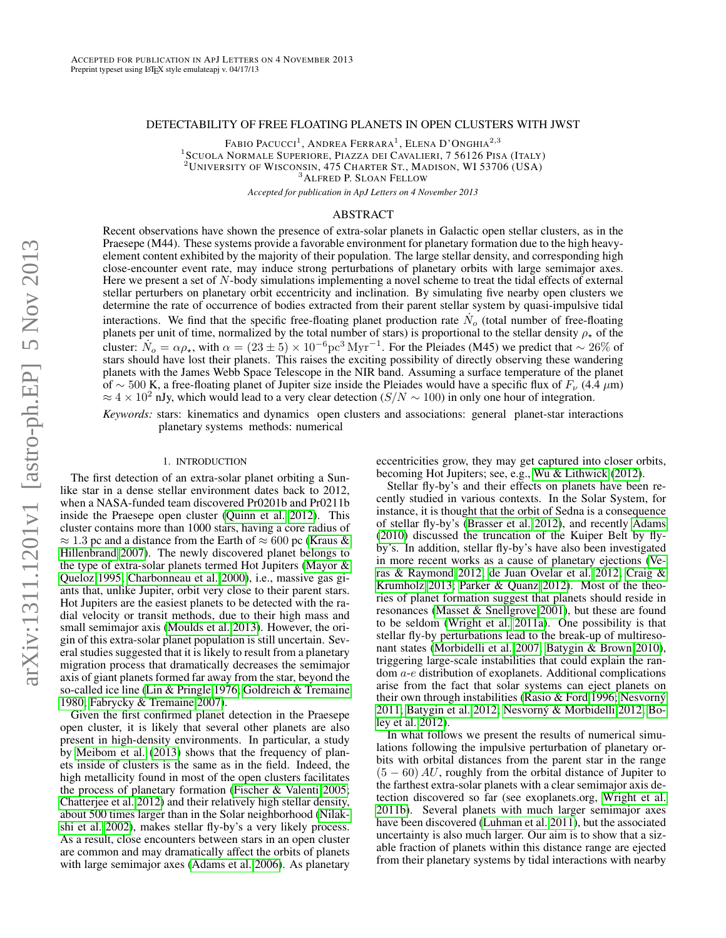# DETECTABILITY OF FREE FLOATING PLANETS IN OPEN CLUSTERS WITH JWST

Fabio Pacucci<sup>1</sup>, Andrea Ferrara<sup>1</sup>, Elena D'Onghia<sup>2,3</sup> 1 SCUOLA NORMALE SUPERIORE, PIAZZA DEI CAVALIERI, 7 56126 PISA (ITALY) <sup>2</sup>UNIVERSITY OF WISCONSIN, 475 CHARTER ST., MADISON, WI 53706 (USA) <sup>3</sup>ALFRED P. SLOAN FELLOW

*Accepted for publication in ApJ Letters on 4 November 2013*

### ABSTRACT

Recent observations have shown the presence of extra-solar planets in Galactic open stellar clusters, as in the Praesepe (M44). These systems provide a favorable environment for planetary formation due to the high heavyelement content exhibited by the majority of their population. The large stellar density, and corresponding high close-encounter event rate, may induce strong perturbations of planetary orbits with large semimajor axes. Here we present a set of N-body simulations implementing a novel scheme to treat the tidal effects of external stellar perturbers on planetary orbit eccentricity and inclination. By simulating five nearby open clusters we determine the rate of occurrence of bodies extracted from their parent stellar system by quasi-impulsive tidal interactions. We find that the specific free-floating planet production rate  $N<sub>o</sub>$  (total number of free-floating planets per unit of time, normalized by the total number of stars) is proportional to the stellar density  $\rho_{\star}$  of the cluster:  $N_o = \alpha \rho_{\star}$ , with  $\alpha = (23 \pm 5) \times 10^{-6} \text{pc}^3 \text{ Myr}^{-1}$ . For the Pleiades (M45) we predict that ~ 26% of stars should have lost their planets. This raises the exciting possibility of directly observing these wandering planets with the James Webb Space Telescope in the NIR band. Assuming a surface temperature of the planet of ~ 500 K, a free-floating planet of Jupiter size inside the Pleiades would have a specific flux of  $F_v$  (4.4  $\mu$ m)  $\approx 4 \times 10^2$  nJy, which would lead to a very clear detection ( $S/N \sim 100$ ) in only one hour of integration.

*Keywords:* stars: kinematics and dynamics open clusters and associations: general planet-star interactions planetary systems methods: numerical

#### 1. INTRODUCTION

The first detection of an extra-solar planet orbiting a Sunlike star in a dense stellar environment dates back to 2012, when a NASA-funded team discovered Pr0201b and Pr0211b inside the Praesepe open cluster [\(Quinn et al. 2012\)](#page-4-0). This cluster contains more than 1000 stars, having a core radius of  $\approx 1.3$  pc and a distance from the Earth of  $\approx 600$  pc [\(Kraus &](#page-4-1) [Hillenbrand 2007\)](#page-4-1). The newly discovered planet belongs to the type of extra-solar planets termed Hot Jupiters [\(Mayor &](#page-4-2) [Queloz 1995;](#page-4-2) [Charbonneau et al. 2000\)](#page-4-3), i.e., massive gas giants that, unlike Jupiter, orbit very close to their parent stars. Hot Jupiters are the easiest planets to be detected with the radial velocity or transit methods, due to their high mass and small semimajor axis [\(Moulds et al. 2013\)](#page-4-4). However, the origin of this extra-solar planet population is still uncertain. Several studies suggested that it is likely to result from a planetary migration process that dramatically decreases the semimajor axis of giant planets formed far away from the star, beyond the so-called ice line [\(Lin & Pringle 1976;](#page-4-5) [Goldreich & Tremaine](#page-4-6) [1980;](#page-4-6) [Fabrycky & Tremaine 2007\)](#page-4-7).

Given the first confirmed planet detection in the Praesepe open cluster, it is likely that several other planets are also present in high-density environments. In particular, a study by [Meibom et al.](#page-4-8) [\(2013\)](#page-4-8) shows that the frequency of planets inside of clusters is the same as in the field. Indeed, the high metallicity found in most of the open clusters facilitates the process of planetary formation [\(Fischer & Valenti 2005;](#page-4-9) [Chatterjee et al. 2012\)](#page-4-10) and their relatively high stellar density, about 500 times larger than in the Solar neighborhood [\(Nilak](#page-4-11)[shi et al. 2002\)](#page-4-11), makes stellar fly-by's a very likely process. As a result, close encounters between stars in an open cluster are common and may dramatically affect the orbits of planets with large semimajor axes [\(Adams et al. 2006\)](#page-4-12). As planetary

eccentricities grow, they may get captured into closer orbits, becoming Hot Jupiters; see, e.g., [Wu & Lithwick](#page-4-13) [\(2012\)](#page-4-13).

Stellar fly-by's and their effects on planets have been recently studied in various contexts. In the Solar System, for instance, it is thought that the orbit of Sedna is a consequence of stellar fly-by's [\(Brasser et al. 2012\)](#page-4-14), and recently [Adams](#page-3-0) [\(2010\)](#page-3-0) discussed the truncation of the Kuiper Belt by flyby's. In addition, stellar fly-by's have also been investigated in more recent works as a cause of planetary ejections [\(Ve](#page-4-15)[ras & Raymond 2012;](#page-4-15) [de Juan Ovelar et al. 2012;](#page-4-16) [Craig &](#page-4-17) [Krumholz 2013;](#page-4-17) [Parker & Quanz 2012\)](#page-4-18). Most of the theories of planet formation suggest that planets should reside in resonances [\(Masset & Snellgrove 2001\)](#page-4-19), but these are found to be seldom [\(Wright et al. 2011a\)](#page-4-20). One possibility is that stellar fly-by perturbations lead to the break-up of multiresonant states [\(Morbidelli et al. 2007;](#page-4-21) [Batygin & Brown 2010\)](#page-4-22), triggering large-scale instabilities that could explain the random a-e distribution of exoplanets. Additional complications arise from the fact that solar systems can eject planets on their own through instabilities [\(Rasio & Ford 1996;](#page-4-23) Nesvorný [2011;](#page-4-24) [Batygin et al. 2012;](#page-4-25) Nesvorný & Morbidelli 2012; [Bo](#page-4-27) [ley et al. 2012\)](#page-4-27).

In what follows we present the results of numerical simulations following the impulsive perturbation of planetary orbits with orbital distances from the parent star in the range  $(5 - 60)$  AU, roughly from the orbital distance of Jupiter to the farthest extra-solar planets with a clear semimajor axis detection discovered so far (see exoplanets.org, [Wright et al.](#page-4-28) [2011b\)](#page-4-28). Several planets with much larger semimajor axes have been discovered [\(Luhman et al. 2011\)](#page-4-29), but the associated uncertainty is also much larger. Our aim is to show that a sizable fraction of planets within this distance range are ejected from their planetary systems by tidal interactions with nearby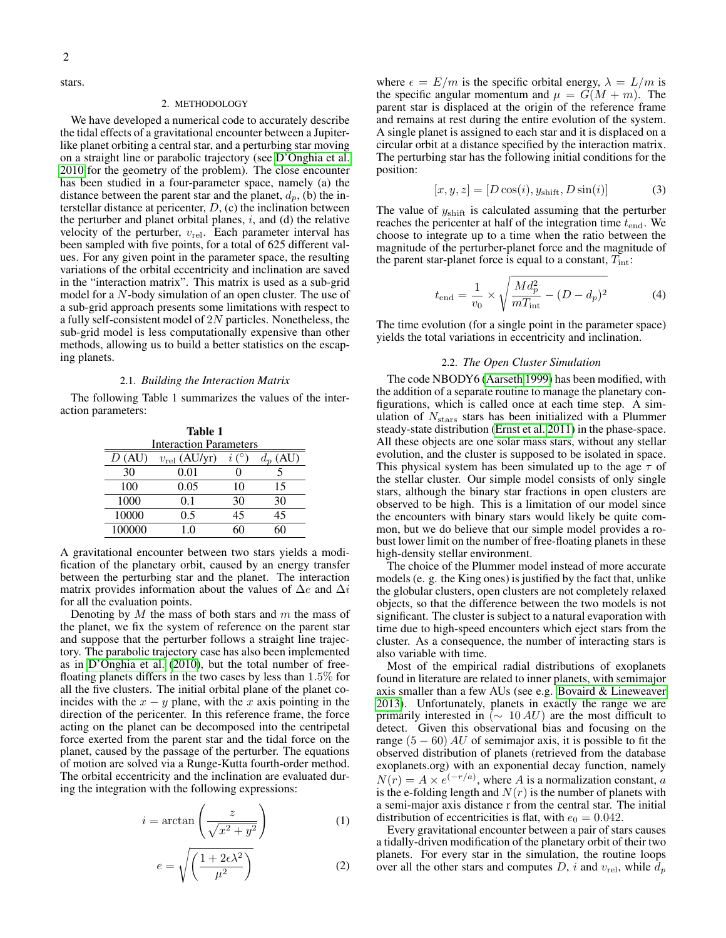stars.

# 2. METHODOLOGY

We have developed a numerical code to accurately describe the tidal effects of a gravitational encounter between a Jupiterlike planet orbiting a central star, and a perturbing star moving on a straight line or parabolic trajectory (see [D'Onghia et al.](#page-4-30) [2010](#page-4-30) for the geometry of the problem). The close encounter has been studied in a four-parameter space, namely (a) the distance between the parent star and the planet,  $d_p$ , (b) the interstellar distance at pericenter,  $D$ ,  $(c)$  the inclination between the perturber and planet orbital planes,  $i$ , and (d) the relative velocity of the perturber,  $v_{rel}$ . Each parameter interval has been sampled with five points, for a total of 625 different values. For any given point in the parameter space, the resulting variations of the orbital eccentricity and inclination are saved in the "interaction matrix". This matrix is used as a sub-grid model for a N-body simulation of an open cluster. The use of a sub-grid approach presents some limitations with respect to a fully self-consistent model of 2N particles. Nonetheless, the sub-grid model is less computationally expensive than other methods, allowing us to build a better statistics on the escaping planets.

### 2.1. *Building the Interaction Matrix*

The following Table 1 summarizes the values of the interaction parameters:

| Table 1                       |                          |      |               |  |  |
|-------------------------------|--------------------------|------|---------------|--|--|
| <b>Interaction Parameters</b> |                          |      |               |  |  |
| D(AU)                         | $v_{\text{rel}}$ (AU/yr) | i(°) | (AU)<br>$d_n$ |  |  |
| 30                            | 0.01                     |      |               |  |  |
| 100                           | 0.05                     | 10   | 15            |  |  |
| 1000                          | 0.1                      | 30   | 30            |  |  |
| 10000                         | 0.5                      | 45   | 45            |  |  |
| 100000                        | 1.0                      | 60   |               |  |  |

A gravitational encounter between two stars yields a modification of the planetary orbit, caused by an energy transfer between the perturbing star and the planet. The interaction matrix provides information about the values of  $\Delta e$  and  $\Delta i$ for all the evaluation points.

Denoting by  $M$  the mass of both stars and  $m$  the mass of the planet, we fix the system of reference on the parent star and suppose that the perturber follows a straight line trajectory. The parabolic trajectory case has also been implemented as in [D'Onghia et al.](#page-4-30) [\(2010\)](#page-4-30), but the total number of freefloating planets differs in the two cases by less than 1.5% for all the five clusters. The initial orbital plane of the planet coincides with the  $x - y$  plane, with the x axis pointing in the direction of the pericenter. In this reference frame, the force acting on the planet can be decomposed into the centripetal force exerted from the parent star and the tidal force on the planet, caused by the passage of the perturber. The equations of motion are solved via a Runge-Kutta fourth-order method. The orbital eccentricity and the inclination are evaluated during the integration with the following expressions:

$$
i = \arctan\left(\frac{z}{\sqrt{x^2 + y^2}}\right) \tag{1}
$$

$$
e = \sqrt{\left(\frac{1 + 2\epsilon\lambda^2}{\mu^2}\right)}\tag{2}
$$

where  $\epsilon = E/m$  is the specific orbital energy,  $\lambda = L/m$  is the specific angular momentum and  $\mu = G(M + m)$ . The parent star is displaced at the origin of the reference frame and remains at rest during the entire evolution of the system. A single planet is assigned to each star and it is displaced on a circular orbit at a distance specified by the interaction matrix. The perturbing star has the following initial conditions for the position:

$$
[x, y, z] = [D\cos(i), y_{\text{shift}}, D\sin(i)] \tag{3}
$$

The value of  $y_{\text{shift}}$  is calculated assuming that the perturber reaches the pericenter at half of the integration time  $t_{\text{end}}$ . We choose to integrate up to a time when the ratio between the magnitude of the perturber-planet force and the magnitude of the parent star-planet force is equal to a constant,  $T_{\text{int}}$ :

$$
t_{\rm end} = \frac{1}{v_0} \times \sqrt{\frac{Md_p^2}{mT_{\rm int}} - (D - d_p)^2}
$$
 (4)

The time evolution (for a single point in the parameter space) yields the total variations in eccentricity and inclination.

#### 2.2. *The Open Cluster Simulation*

The code NBODY6 [\(Aarseth 1999\)](#page-3-1) has been modified, with the addition of a separate routine to manage the planetary configurations, which is called once at each time step. A simulation of  $N_{\text{stars}}$  stars has been initialized with a Plummer steady-state distribution [\(Ernst et al. 2011\)](#page-4-31) in the phase-space. All these objects are one solar mass stars, without any stellar evolution, and the cluster is supposed to be isolated in space. This physical system has been simulated up to the age  $\tau$  of the stellar cluster. Our simple model consists of only single stars, although the binary star fractions in open clusters are observed to be high. This is a limitation of our model since the encounters with binary stars would likely be quite common, but we do believe that our simple model provides a robust lower limit on the number of free-floating planets in these high-density stellar environment.

The choice of the Plummer model instead of more accurate models (e. g. the King ones) is justified by the fact that, unlike the globular clusters, open clusters are not completely relaxed objects, so that the difference between the two models is not significant. The cluster is subject to a natural evaporation with time due to high-speed encounters which eject stars from the cluster. As a consequence, the number of interacting stars is also variable with time.

Most of the empirical radial distributions of exoplanets found in literature are related to inner planets, with semimajor axis smaller than a few AUs (see e.g. [Bovaird & Lineweaver](#page-4-32) [2013\)](#page-4-32). Unfortunately, planets in exactly the range we are primarily interested in ( $\sim 10 \text{ AU}$ ) are the most difficult to detect. Given this observational bias and focusing on the range  $(5 - 60)$  AU of semimajor axis, it is possible to fit the observed distribution of planets (retrieved from the database exoplanets.org) with an exponential decay function, namely  $N(r) = A \times e^{(-r/a)}$ , where A is a normalization constant, a is the e-folding length and  $N(r)$  is the number of planets with a semi-major axis distance r from the central star. The initial distribution of eccentricities is flat, with  $e_0 = 0.042$ .

Every gravitational encounter between a pair of stars causes a tidally-driven modification of the planetary orbit of their two planets. For every star in the simulation, the routine loops over all the other stars and computes D, i and  $v_{\text{rel}}$ , while  $d_p$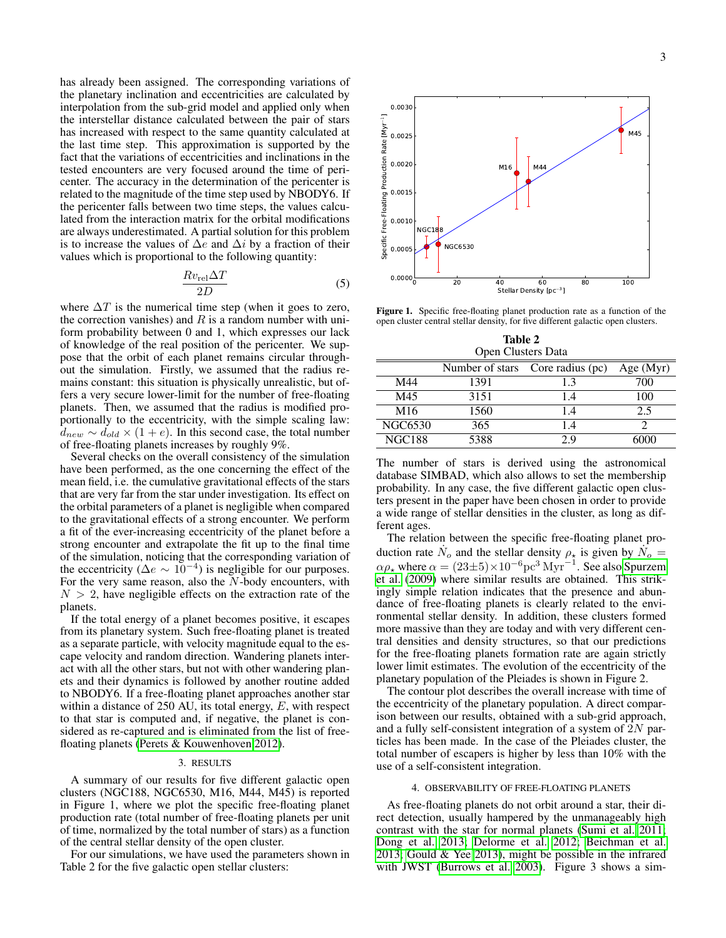has already been assigned. The corresponding variations of the planetary inclination and eccentricities are calculated by interpolation from the sub-grid model and applied only when the interstellar distance calculated between the pair of stars has increased with respect to the same quantity calculated at the last time step. This approximation is supported by the fact that the variations of eccentricities and inclinations in the tested encounters are very focused around the time of pericenter. The accuracy in the determination of the pericenter is related to the magnitude of the time step used by NBODY6. If the pericenter falls between two time steps, the values calculated from the interaction matrix for the orbital modifications are always underestimated. A partial solution for this problem is to increase the values of  $\Delta e$  and  $\Delta i$  by a fraction of their values which is proportional to the following quantity:

$$
\frac{Rv_{\rm rel}\Delta T}{2D} \tag{5}
$$

where  $\Delta T$  is the numerical time step (when it goes to zero, the correction vanishes) and  $R$  is a random number with uniform probability between 0 and 1, which expresses our lack of knowledge of the real position of the pericenter. We suppose that the orbit of each planet remains circular throughout the simulation. Firstly, we assumed that the radius remains constant: this situation is physically unrealistic, but offers a very secure lower-limit for the number of free-floating planets. Then, we assumed that the radius is modified proportionally to the eccentricity, with the simple scaling law:  $d_{new} \sim d_{old} \times (1 + e)$ . In this second case, the total number of free-floating planets increases by roughly 9%.

Several checks on the overall consistency of the simulation have been performed, as the one concerning the effect of the mean field, i.e. the cumulative gravitational effects of the stars that are very far from the star under investigation. Its effect on the orbital parameters of a planet is negligible when compared to the gravitational effects of a strong encounter. We perform a fit of the ever-increasing eccentricity of the planet before a strong encounter and extrapolate the fit up to the final time of the simulation, noticing that the corresponding variation of the eccentricity ( $\Delta e \sim 10^{-4}$ ) is negligible for our purposes. For the very same reason, also the N-body encounters, with  $N > 2$ , have negligible effects on the extraction rate of the planets.

If the total energy of a planet becomes positive, it escapes from its planetary system. Such free-floating planet is treated as a separate particle, with velocity magnitude equal to the escape velocity and random direction. Wandering planets interact with all the other stars, but not with other wandering planets and their dynamics is followed by another routine added to NBODY6. If a free-floating planet approaches another star within a distance of 250 AU, its total energy,  $E$ , with respect to that star is computed and, if negative, the planet is considered as re-captured and is eliminated from the list of freefloating planets [\(Perets & Kouwenhoven 2012\)](#page-4-33).

## 3. RESULTS

A summary of our results for five different galactic open clusters (NGC188, NGC6530, M16, M44, M45) is reported in Figure 1, where we plot the specific free-floating planet production rate (total number of free-floating planets per unit of time, normalized by the total number of stars) as a function of the central stellar density of the open cluster.

For our simulations, we have used the parameters shown in Table 2 for the five galactic open stellar clusters:



Figure 1. Specific free-floating planet production rate as a function of the open cluster central stellar density, for five different galactic open clusters.

Table 2 Open Clusters Data

|                 | Number of stars | Core radius (pc) | Age $(Myr)$ |
|-----------------|-----------------|------------------|-------------|
| M44             | 1391            | 1.3              | 700         |
| M45             | 3151            | 1.4              | 100         |
| M <sub>16</sub> | 1560            | 1.4              | 2.5         |
| NGC6530         | 365             | l .4             |             |
| <b>NGC188</b>   | 5388            | 2.9              | 6000        |

The number of stars is derived using the astronomical database SIMBAD, which also allows to set the membership probability. In any case, the five different galactic open clusters present in the paper have been chosen in order to provide a wide range of stellar densities in the cluster, as long as different ages.

The relation between the specific free-floating planet production rate  $\dot{N}_o$  and the stellar density  $\rho_{\star}$  is given by  $\dot{N}_o$  =  $\alpha \rho_{\star}$  where  $\alpha = (23 \pm 5) \times 10^{-6} \text{pc}^3 \, \text{Myr}^{-1}$ . See also [Spurzem](#page-4-34) [et al.](#page-4-34) [\(2009\)](#page-4-34) where similar results are obtained. This strikingly simple relation indicates that the presence and abundance of free-floating planets is clearly related to the environmental stellar density. In addition, these clusters formed more massive than they are today and with very different central densities and density structures, so that our predictions for the free-floating planets formation rate are again strictly lower limit estimates. The evolution of the eccentricity of the planetary population of the Pleiades is shown in Figure 2.

The contour plot describes the overall increase with time of the eccentricity of the planetary population. A direct comparison between our results, obtained with a sub-grid approach, and a fully self-consistent integration of a system of  $2N$  particles has been made. In the case of the Pleiades cluster, the total number of escapers is higher by less than 10% with the use of a self-consistent integration.

# 4. OBSERVABILITY OF FREE-FLOATING PLANETS

As free-floating planets do not orbit around a star, their direct detection, usually hampered by the unmanageably high contrast with the star for normal planets [\(Sumi et al. 2011;](#page-4-35) [Dong et al. 2013;](#page-4-36) [Delorme et al. 2012;](#page-4-37) [Beichman et al.](#page-4-38) [2013;](#page-4-38) [Gould & Yee 2013\)](#page-4-39), might be possible in the infrared with JWST [\(Burrows et al. 2003\)](#page-4-40). Figure 3 shows a sim-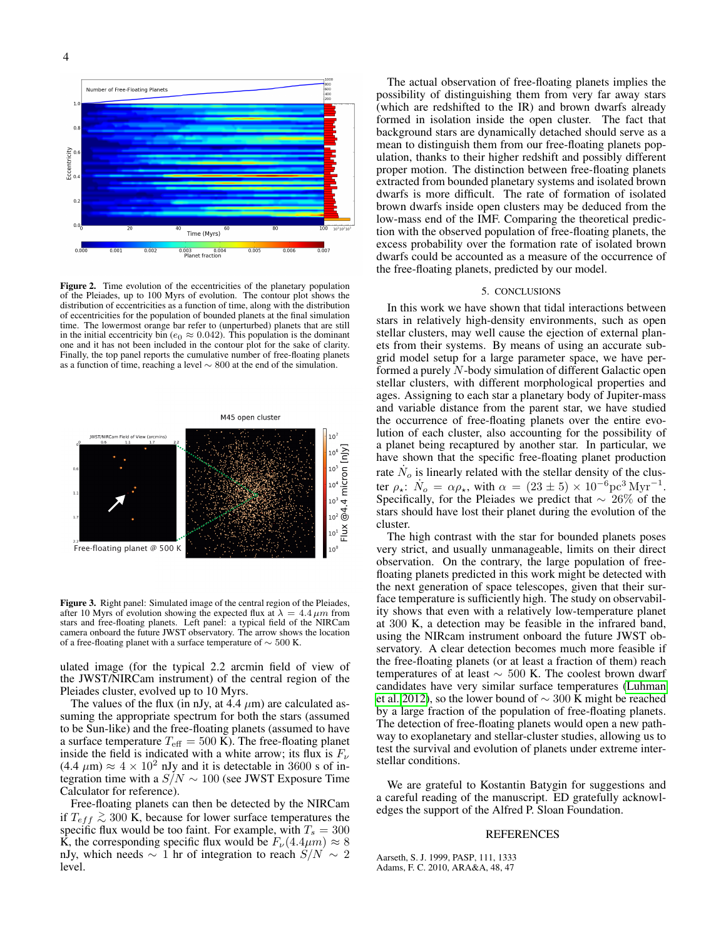



Figure 2. Time evolution of the eccentricities of the planetary population of the Pleiades, up to 100 Myrs of evolution. The contour plot shows the distribution of eccentricities as a function of time, along with the distribution of eccentricities for the population of bounded planets at the final simulation time. The lowermost orange bar refer to (unperturbed) planets that are still in the initial eccentricity bin ( $e_0 \approx 0.042$ ). This population is the dominant one and it has not been included in the contour plot for the sake of clarity. Finally, the top panel reports the cumulative number of free-floating planets as a function of time, reaching a level ∼ 800 at the end of the simulation.



Figure 3. Right panel: Simulated image of the central region of the Pleiades, after 10 Myrs of evolution showing the expected flux at  $\lambda = 4.4 \,\mu m$  from stars and free-floating planets. Left panel: a typical field of the NIRCam camera onboard the future JWST observatory. The arrow shows the location of a free-floating planet with a surface temperature of ∼ 500 K.

ulated image (for the typical 2.2 arcmin field of view of the JWST/NIRCam instrument) of the central region of the Pleiades cluster, evolved up to 10 Myrs.

The values of the flux (in nJy, at 4.4  $\mu$ m) are calculated assuming the appropriate spectrum for both the stars (assumed to be Sun-like) and the free-floating planets (assumed to have a surface temperature  $T_{\text{eff}} = 500$  K). The free-floating planet inside the field is indicated with a white arrow; its flux is  $F_{\nu}$ (4.4  $\mu$ m)  $\approx$  4  $\times$  10<sup>2</sup> nJy and it is detectable in 3600 s of integration time with a  $S/N \sim 100$  (see JWST Exposure Time Calculator for reference).

Free-floating planets can then be detected by the NIRCam if  $T_{eff}$   $\gtrsim$  300 K, because for lower surface temperatures the specific flux would be too faint. For example, with  $T_s = 300$ K, the corresponding specific flux would be  $F_{\nu}(4.4\mu m) \approx 8$ nJy, which needs  $\sim 1$  hr of integration to reach  $S/N \sim 2$ level.

The actual observation of free-floating planets implies the possibility of distinguishing them from very far away stars (which are redshifted to the IR) and brown dwarfs already formed in isolation inside the open cluster. The fact that background stars are dynamically detached should serve as a mean to distinguish them from our free-floating planets population, thanks to their higher redshift and possibly different proper motion. The distinction between free-floating planets extracted from bounded planetary systems and isolated brown dwarfs is more difficult. The rate of formation of isolated brown dwarfs inside open clusters may be deduced from the low-mass end of the IMF. Comparing the theoretical prediction with the observed population of free-floating planets, the excess probability over the formation rate of isolated brown dwarfs could be accounted as a measure of the occurrence of the free-floating planets, predicted by our model.

### 5. CONCLUSIONS

In this work we have shown that tidal interactions between stars in relatively high-density environments, such as open stellar clusters, may well cause the ejection of external planets from their systems. By means of using an accurate subgrid model setup for a large parameter space, we have performed a purely N-body simulation of different Galactic open stellar clusters, with different morphological properties and ages. Assigning to each star a planetary body of Jupiter-mass and variable distance from the parent star, we have studied the occurrence of free-floating planets over the entire evolution of each cluster, also accounting for the possibility of a planet being recaptured by another star. In particular, we have shown that the specific free-floating planet production rate  $\dot{N}_o$  is linearly related with the stellar density of the cluster  $\rho_*$ :  $\dot{N}_o = \alpha \rho_*$ , with  $\alpha = (23 \pm 5) \times 10^{-6} \text{pc}^3 \text{ Myr}^{-1}$ . Specifically, for the Pleiades we predict that  $\sim 26\%$  of the stars should have lost their planet during the evolution of the cluster.

The high contrast with the star for bounded planets poses very strict, and usually unmanageable, limits on their direct observation. On the contrary, the large population of freefloating planets predicted in this work might be detected with the next generation of space telescopes, given that their surface temperature is sufficiently high. The study on observability shows that even with a relatively low-temperature planet at 300 K, a detection may be feasible in the infrared band, using the NIRcam instrument onboard the future JWST observatory. A clear detection becomes much more feasible if the free-floating planets (or at least a fraction of them) reach temperatures of at least  $\sim 500$  K. The coolest brown dwarf candidates have very similar surface temperatures [\(Luhman](#page-4-41) [et al. 2012\)](#page-4-41), so the lower bound of ∼ 300 K might be reached by a large fraction of the population of free-floating planets. The detection of free-floating planets would open a new pathway to exoplanetary and stellar-cluster studies, allowing us to test the survival and evolution of planets under extreme interstellar conditions.

We are grateful to Kostantin Batygin for suggestions and a careful reading of the manuscript. ED gratefully acknowledges the support of the Alfred P. Sloan Foundation.

## REFERENCES

<span id="page-3-1"></span><span id="page-3-0"></span>Aarseth, S. J. 1999, PASP, 111, 1333 Adams, F. C. 2010, ARA&A, 48, 47